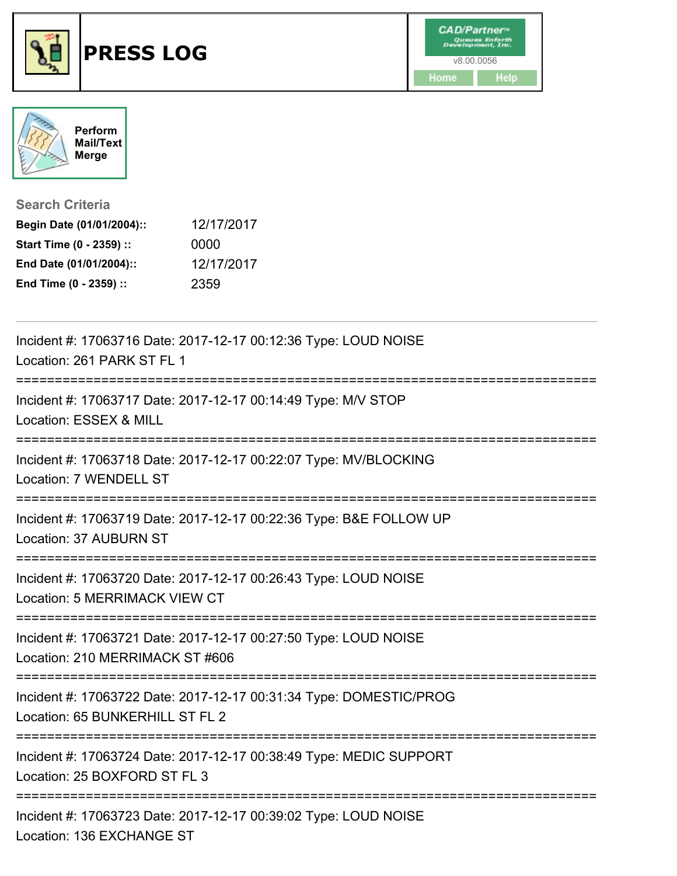



| <b>Search Criteria</b>    |            |
|---------------------------|------------|
| Begin Date (01/01/2004):: | 12/17/2017 |
| Start Time (0 - 2359) ::  | 0000       |
| End Date (01/01/2004)::   | 12/17/2017 |
| End Time (0 - 2359) ::    | 2359       |

| Incident #: 17063716 Date: 2017-12-17 00:12:36 Type: LOUD NOISE<br>Location: 261 PARK ST FL 1                                           |
|-----------------------------------------------------------------------------------------------------------------------------------------|
| Incident #: 17063717 Date: 2017-12-17 00:14:49 Type: M/V STOP<br>Location: ESSEX & MILL                                                 |
| Incident #: 17063718 Date: 2017-12-17 00:22:07 Type: MV/BLOCKING<br>Location: 7 WENDELL ST                                              |
| Incident #: 17063719 Date: 2017-12-17 00:22:36 Type: B&E FOLLOW UP<br>Location: 37 AUBURN ST                                            |
| Incident #: 17063720 Date: 2017-12-17 00:26:43 Type: LOUD NOISE<br><b>Location: 5 MERRIMACK VIEW CT</b><br>---------------------------- |
| Incident #: 17063721 Date: 2017-12-17 00:27:50 Type: LOUD NOISE<br>Location: 210 MERRIMACK ST #606                                      |
| Incident #: 17063722 Date: 2017-12-17 00:31:34 Type: DOMESTIC/PROG<br>Location: 65 BUNKERHILL ST FL 2                                   |
| Incident #: 17063724 Date: 2017-12-17 00:38:49 Type: MEDIC SUPPORT<br>Location: 25 BOXFORD ST FL 3                                      |
| Incident #: 17063723 Date: 2017-12-17 00:39:02 Type: LOUD NOISE<br>Location: 136 EXCHANGE ST                                            |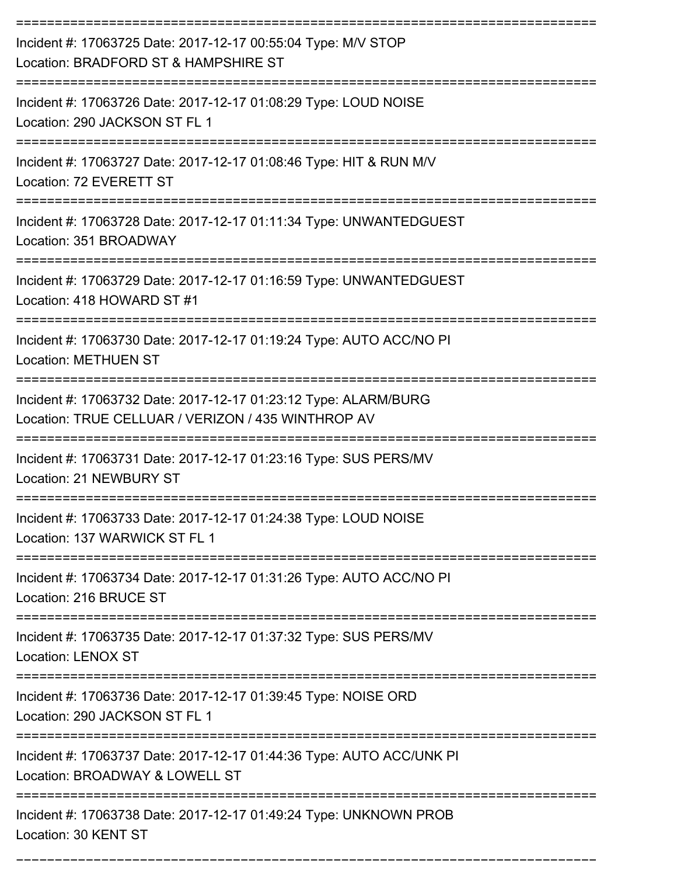| Incident #: 17063725 Date: 2017-12-17 00:55:04 Type: M/V STOP<br>Location: BRADFORD ST & HAMPSHIRE ST                 |
|-----------------------------------------------------------------------------------------------------------------------|
| Incident #: 17063726 Date: 2017-12-17 01:08:29 Type: LOUD NOISE<br>Location: 290 JACKSON ST FL 1                      |
| Incident #: 17063727 Date: 2017-12-17 01:08:46 Type: HIT & RUN M/V<br>Location: 72 EVERETT ST                         |
| Incident #: 17063728 Date: 2017-12-17 01:11:34 Type: UNWANTEDGUEST<br>Location: 351 BROADWAY                          |
| Incident #: 17063729 Date: 2017-12-17 01:16:59 Type: UNWANTEDGUEST<br>Location: 418 HOWARD ST #1                      |
| Incident #: 17063730 Date: 2017-12-17 01:19:24 Type: AUTO ACC/NO PI<br><b>Location: METHUEN ST</b>                    |
| Incident #: 17063732 Date: 2017-12-17 01:23:12 Type: ALARM/BURG<br>Location: TRUE CELLUAR / VERIZON / 435 WINTHROP AV |
| Incident #: 17063731 Date: 2017-12-17 01:23:16 Type: SUS PERS/MV<br>Location: 21 NEWBURY ST                           |
| Incident #: 17063733 Date: 2017-12-17 01:24:38 Type: LOUD NOISE<br>Location: 137 WARWICK ST FL 1                      |
| Incident #: 17063734 Date: 2017-12-17 01:31:26 Type: AUTO ACC/NO PI<br>Location: 216 BRUCE ST                         |
| Incident #: 17063735 Date: 2017-12-17 01:37:32 Type: SUS PERS/MV<br>Location: LENOX ST                                |
| Incident #: 17063736 Date: 2017-12-17 01:39:45 Type: NOISE ORD<br>Location: 290 JACKSON ST FL 1                       |
| Incident #: 17063737 Date: 2017-12-17 01:44:36 Type: AUTO ACC/UNK PI<br>Location: BROADWAY & LOWELL ST                |
| Incident #: 17063738 Date: 2017-12-17 01:49:24 Type: UNKNOWN PROB<br>Location: 30 KENT ST                             |

===========================================================================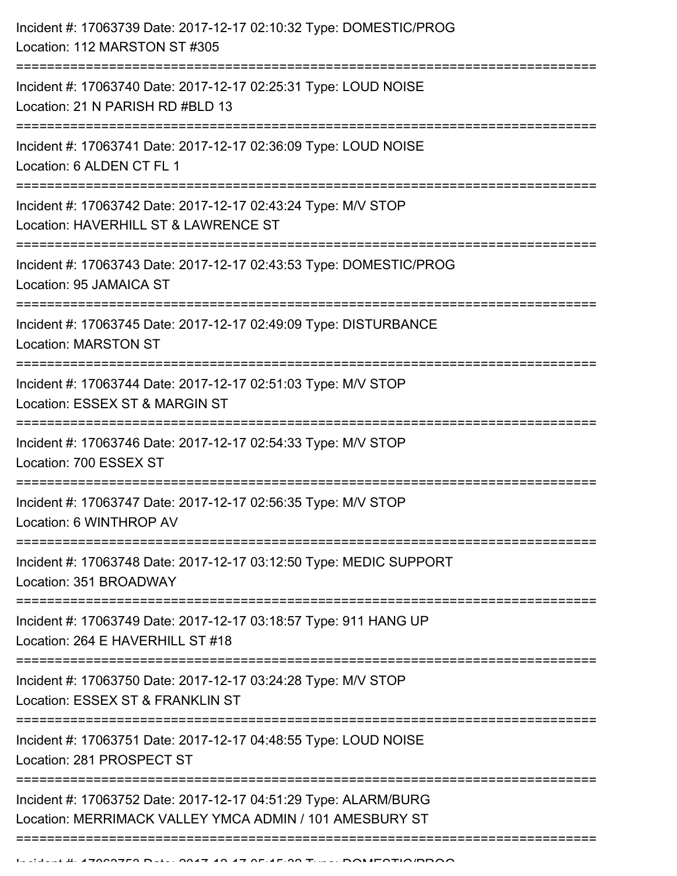| Incident #: 17063740 Date: 2017-12-17 02:25:31 Type: LOUD NOISE<br>Location: 21 N PARISH RD #BLD 13<br>Incident #: 17063741 Date: 2017-12-17 02:36:09 Type: LOUD NOISE<br>Location: 6 ALDEN CT FL 1<br>Incident #: 17063742 Date: 2017-12-17 02:43:24 Type: M/V STOP<br>Location: HAVERHILL ST & LAWRENCE ST<br>Incident #: 17063743 Date: 2017-12-17 02:43:53 Type: DOMESTIC/PROG<br>Location: 95 JAMAICA ST<br>Incident #: 17063745 Date: 2017-12-17 02:49:09 Type: DISTURBANCE<br><b>Location: MARSTON ST</b><br>Incident #: 17063744 Date: 2017-12-17 02:51:03 Type: M/V STOP<br>Location: ESSEX ST & MARGIN ST<br><u>:=======================</u><br>Incident #: 17063746 Date: 2017-12-17 02:54:33 Type: M/V STOP<br>Location: 700 ESSEX ST<br>Incident #: 17063747 Date: 2017-12-17 02:56:35 Type: M/V STOP<br>Location: 6 WINTHROP AV<br>Incident #: 17063748 Date: 2017-12-17 03:12:50 Type: MEDIC SUPPORT<br>Location: 351 BROADWAY<br>Incident #: 17063749 Date: 2017-12-17 03:18:57 Type: 911 HANG UP<br>Location: 264 E HAVERHILL ST #18<br>-------------------------<br>Incident #: 17063750 Date: 2017-12-17 03:24:28 Type: M/V STOP<br>Location: ESSEX ST & FRANKLIN ST<br>Incident #: 17063751 Date: 2017-12-17 04:48:55 Type: LOUD NOISE<br>Location: 281 PROSPECT ST<br>Incident #: 17063752 Date: 2017-12-17 04:51:29 Type: ALARM/BURG<br>Location: MERRIMACK VALLEY YMCA ADMIN / 101 AMESBURY ST | Incident #: 17063739 Date: 2017-12-17 02:10:32 Type: DOMESTIC/PROG<br>Location: 112 MARSTON ST #305 |
|-----------------------------------------------------------------------------------------------------------------------------------------------------------------------------------------------------------------------------------------------------------------------------------------------------------------------------------------------------------------------------------------------------------------------------------------------------------------------------------------------------------------------------------------------------------------------------------------------------------------------------------------------------------------------------------------------------------------------------------------------------------------------------------------------------------------------------------------------------------------------------------------------------------------------------------------------------------------------------------------------------------------------------------------------------------------------------------------------------------------------------------------------------------------------------------------------------------------------------------------------------------------------------------------------------------------------------------------------------------------------------------------------------------------------|-----------------------------------------------------------------------------------------------------|
|                                                                                                                                                                                                                                                                                                                                                                                                                                                                                                                                                                                                                                                                                                                                                                                                                                                                                                                                                                                                                                                                                                                                                                                                                                                                                                                                                                                                                       |                                                                                                     |
|                                                                                                                                                                                                                                                                                                                                                                                                                                                                                                                                                                                                                                                                                                                                                                                                                                                                                                                                                                                                                                                                                                                                                                                                                                                                                                                                                                                                                       |                                                                                                     |
|                                                                                                                                                                                                                                                                                                                                                                                                                                                                                                                                                                                                                                                                                                                                                                                                                                                                                                                                                                                                                                                                                                                                                                                                                                                                                                                                                                                                                       |                                                                                                     |
|                                                                                                                                                                                                                                                                                                                                                                                                                                                                                                                                                                                                                                                                                                                                                                                                                                                                                                                                                                                                                                                                                                                                                                                                                                                                                                                                                                                                                       |                                                                                                     |
|                                                                                                                                                                                                                                                                                                                                                                                                                                                                                                                                                                                                                                                                                                                                                                                                                                                                                                                                                                                                                                                                                                                                                                                                                                                                                                                                                                                                                       |                                                                                                     |
|                                                                                                                                                                                                                                                                                                                                                                                                                                                                                                                                                                                                                                                                                                                                                                                                                                                                                                                                                                                                                                                                                                                                                                                                                                                                                                                                                                                                                       |                                                                                                     |
|                                                                                                                                                                                                                                                                                                                                                                                                                                                                                                                                                                                                                                                                                                                                                                                                                                                                                                                                                                                                                                                                                                                                                                                                                                                                                                                                                                                                                       |                                                                                                     |
|                                                                                                                                                                                                                                                                                                                                                                                                                                                                                                                                                                                                                                                                                                                                                                                                                                                                                                                                                                                                                                                                                                                                                                                                                                                                                                                                                                                                                       |                                                                                                     |
|                                                                                                                                                                                                                                                                                                                                                                                                                                                                                                                                                                                                                                                                                                                                                                                                                                                                                                                                                                                                                                                                                                                                                                                                                                                                                                                                                                                                                       |                                                                                                     |
|                                                                                                                                                                                                                                                                                                                                                                                                                                                                                                                                                                                                                                                                                                                                                                                                                                                                                                                                                                                                                                                                                                                                                                                                                                                                                                                                                                                                                       |                                                                                                     |
|                                                                                                                                                                                                                                                                                                                                                                                                                                                                                                                                                                                                                                                                                                                                                                                                                                                                                                                                                                                                                                                                                                                                                                                                                                                                                                                                                                                                                       |                                                                                                     |
|                                                                                                                                                                                                                                                                                                                                                                                                                                                                                                                                                                                                                                                                                                                                                                                                                                                                                                                                                                                                                                                                                                                                                                                                                                                                                                                                                                                                                       |                                                                                                     |
|                                                                                                                                                                                                                                                                                                                                                                                                                                                                                                                                                                                                                                                                                                                                                                                                                                                                                                                                                                                                                                                                                                                                                                                                                                                                                                                                                                                                                       |                                                                                                     |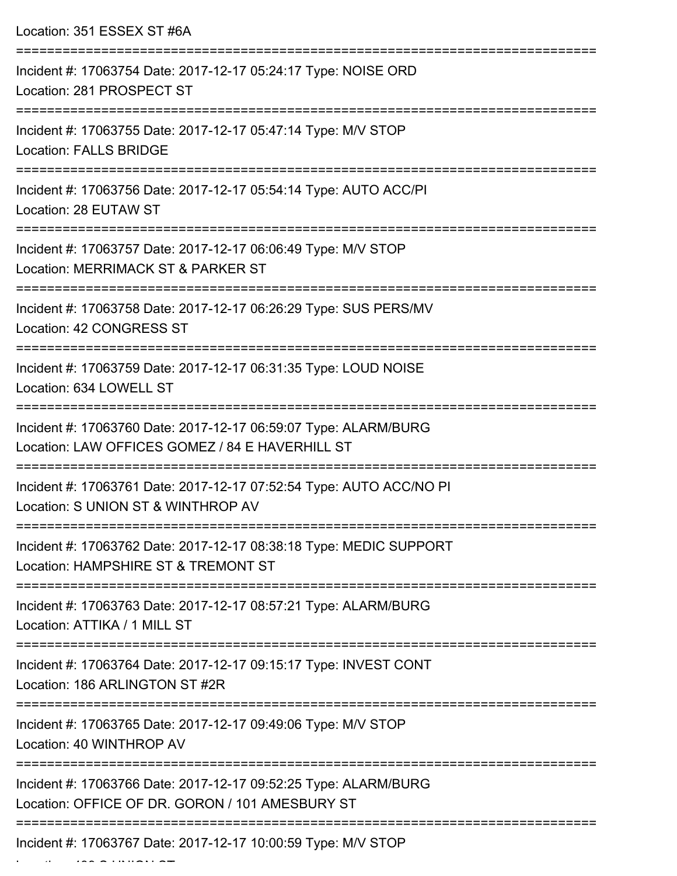| Location: 351 ESSEX ST #6A                                                                                         |
|--------------------------------------------------------------------------------------------------------------------|
| Incident #: 17063754 Date: 2017-12-17 05:24:17 Type: NOISE ORD<br>Location: 281 PROSPECT ST                        |
| Incident #: 17063755 Date: 2017-12-17 05:47:14 Type: M/V STOP<br><b>Location: FALLS BRIDGE</b>                     |
| Incident #: 17063756 Date: 2017-12-17 05:54:14 Type: AUTO ACC/PI<br>Location: 28 EUTAW ST                          |
| Incident #: 17063757 Date: 2017-12-17 06:06:49 Type: M/V STOP<br>Location: MERRIMACK ST & PARKER ST                |
| Incident #: 17063758 Date: 2017-12-17 06:26:29 Type: SUS PERS/MV<br>Location: 42 CONGRESS ST                       |
| Incident #: 17063759 Date: 2017-12-17 06:31:35 Type: LOUD NOISE<br>Location: 634 LOWELL ST                         |
| Incident #: 17063760 Date: 2017-12-17 06:59:07 Type: ALARM/BURG<br>Location: LAW OFFICES GOMEZ / 84 E HAVERHILL ST |
| Incident #: 17063761 Date: 2017-12-17 07:52:54 Type: AUTO ACC/NO PI<br>Location: S UNION ST & WINTHROP AV          |
| Incident #: 17063762 Date: 2017-12-17 08:38:18 Type: MEDIC SUPPORT<br>Location: HAMPSHIRE ST & TREMONT ST          |
| Incident #: 17063763 Date: 2017-12-17 08:57:21 Type: ALARM/BURG<br>Location: ATTIKA / 1 MILL ST                    |
| Incident #: 17063764 Date: 2017-12-17 09:15:17 Type: INVEST CONT<br>Location: 186 ARLINGTON ST #2R                 |
| Incident #: 17063765 Date: 2017-12-17 09:49:06 Type: M/V STOP<br>Location: 40 WINTHROP AV                          |
| Incident #: 17063766 Date: 2017-12-17 09:52:25 Type: ALARM/BURG<br>Location: OFFICE OF DR. GORON / 101 AMESBURY ST |
| Incident #: 17063767 Date: 2017-12-17 10:00:59 Type: M/V STOP                                                      |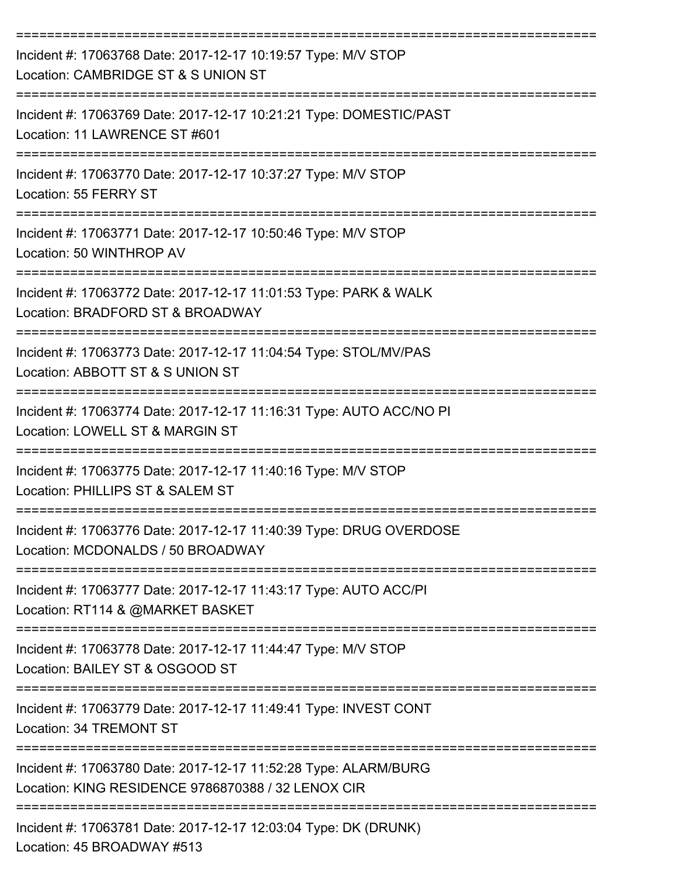| Incident #: 17063768 Date: 2017-12-17 10:19:57 Type: M/V STOP<br>Location: CAMBRIDGE ST & S UNION ST                              |
|-----------------------------------------------------------------------------------------------------------------------------------|
| Incident #: 17063769 Date: 2017-12-17 10:21:21 Type: DOMESTIC/PAST<br>Location: 11 LAWRENCE ST #601                               |
| Incident #: 17063770 Date: 2017-12-17 10:37:27 Type: M/V STOP<br>Location: 55 FERRY ST                                            |
| Incident #: 17063771 Date: 2017-12-17 10:50:46 Type: M/V STOP<br>Location: 50 WINTHROP AV                                         |
| Incident #: 17063772 Date: 2017-12-17 11:01:53 Type: PARK & WALK<br>Location: BRADFORD ST & BROADWAY                              |
| Incident #: 17063773 Date: 2017-12-17 11:04:54 Type: STOL/MV/PAS<br>Location: ABBOTT ST & S UNION ST                              |
| Incident #: 17063774 Date: 2017-12-17 11:16:31 Type: AUTO ACC/NO PI<br>Location: LOWELL ST & MARGIN ST                            |
| Incident #: 17063775 Date: 2017-12-17 11:40:16 Type: M/V STOP<br>Location: PHILLIPS ST & SALEM ST                                 |
| Incident #: 17063776 Date: 2017-12-17 11:40:39 Type: DRUG OVERDOSE<br>Location: MCDONALDS / 50 BROADWAY                           |
| Incident #: 17063777 Date: 2017-12-17 11:43:17 Type: AUTO ACC/PI<br>Location: RT114 & @MARKET BASKET                              |
| Incident #: 17063778 Date: 2017-12-17 11:44:47 Type: M/V STOP<br>Location: BAILEY ST & OSGOOD ST                                  |
| ==================================<br>Incident #: 17063779 Date: 2017-12-17 11:49:41 Type: INVEST CONT<br>Location: 34 TREMONT ST |
| Incident #: 17063780 Date: 2017-12-17 11:52:28 Type: ALARM/BURG<br>Location: KING RESIDENCE 9786870388 / 32 LENOX CIR             |
| Incident #: 17063781 Date: 2017-12-17 12:03:04 Type: DK (DRUNK)<br>Location: 45 BROADWAY #513                                     |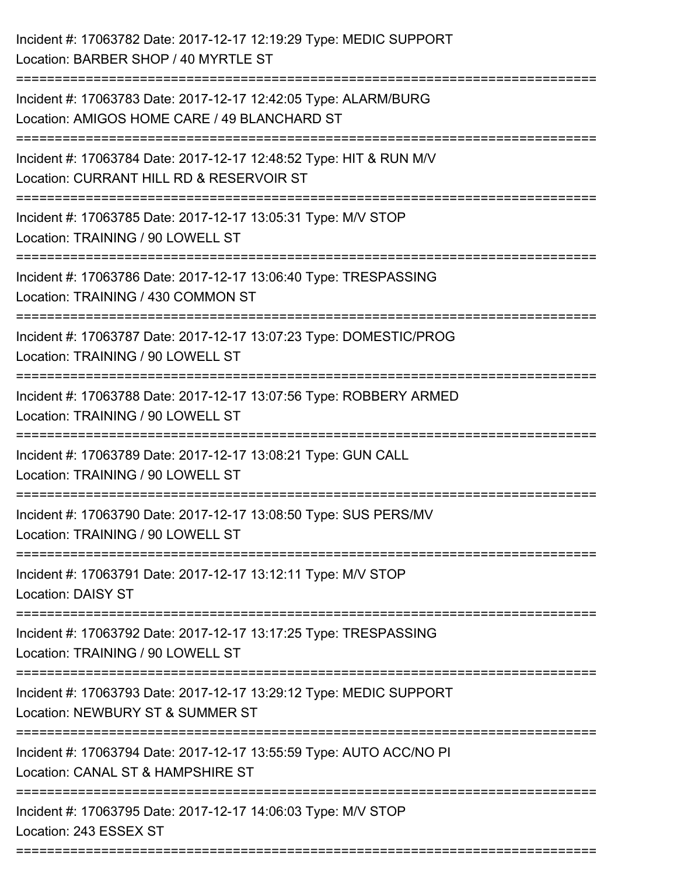| Incident #: 17063782 Date: 2017-12-17 12:19:29 Type: MEDIC SUPPORT<br>Location: BARBER SHOP / 40 MYRTLE ST                                  |
|---------------------------------------------------------------------------------------------------------------------------------------------|
| ======================<br>Incident #: 17063783 Date: 2017-12-17 12:42:05 Type: ALARM/BURG<br>Location: AMIGOS HOME CARE / 49 BLANCHARD ST   |
| Incident #: 17063784 Date: 2017-12-17 12:48:52 Type: HIT & RUN M/V<br>Location: CURRANT HILL RD & RESERVOIR ST<br>========================= |
| Incident #: 17063785 Date: 2017-12-17 13:05:31 Type: M/V STOP<br>Location: TRAINING / 90 LOWELL ST                                          |
| Incident #: 17063786 Date: 2017-12-17 13:06:40 Type: TRESPASSING<br>Location: TRAINING / 430 COMMON ST                                      |
| Incident #: 17063787 Date: 2017-12-17 13:07:23 Type: DOMESTIC/PROG<br>Location: TRAINING / 90 LOWELL ST                                     |
| Incident #: 17063788 Date: 2017-12-17 13:07:56 Type: ROBBERY ARMED<br>Location: TRAINING / 90 LOWELL ST                                     |
| Incident #: 17063789 Date: 2017-12-17 13:08:21 Type: GUN CALL<br>Location: TRAINING / 90 LOWELL ST                                          |
| Incident #: 17063790 Date: 2017-12-17 13:08:50 Type: SUS PERS/MV<br>Location: TRAINING / 90 LOWELL ST                                       |
| Incident #: 17063791 Date: 2017-12-17 13:12:11 Type: M/V STOP<br><b>Location: DAISY ST</b>                                                  |
| Incident #: 17063792 Date: 2017-12-17 13:17:25 Type: TRESPASSING<br>Location: TRAINING / 90 LOWELL ST                                       |
| Incident #: 17063793 Date: 2017-12-17 13:29:12 Type: MEDIC SUPPORT<br>Location: NEWBURY ST & SUMMER ST                                      |
| Incident #: 17063794 Date: 2017-12-17 13:55:59 Type: AUTO ACC/NO PI<br>Location: CANAL ST & HAMPSHIRE ST                                    |
| Incident #: 17063795 Date: 2017-12-17 14:06:03 Type: M/V STOP<br>Location: 243 ESSEX ST                                                     |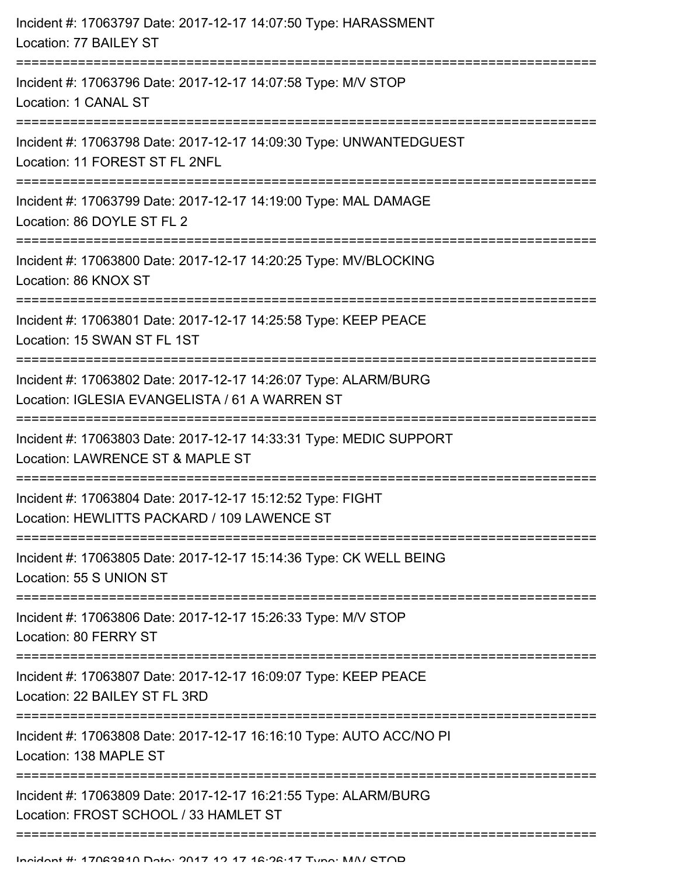| Incident #: 17063797 Date: 2017-12-17 14:07:50 Type: HARASSMENT<br>Location: 77 BAILEY ST                                                                             |
|-----------------------------------------------------------------------------------------------------------------------------------------------------------------------|
| Incident #: 17063796 Date: 2017-12-17 14:07:58 Type: M/V STOP<br>Location: 1 CANAL ST<br>--------------------------                                                   |
| Incident #: 17063798 Date: 2017-12-17 14:09:30 Type: UNWANTEDGUEST<br>Location: 11 FOREST ST FL 2NFL                                                                  |
| Incident #: 17063799 Date: 2017-12-17 14:19:00 Type: MAL DAMAGE<br>Location: 86 DOYLE ST FL 2                                                                         |
| Incident #: 17063800 Date: 2017-12-17 14:20:25 Type: MV/BLOCKING<br>Location: 86 KNOX ST                                                                              |
| Incident #: 17063801 Date: 2017-12-17 14:25:58 Type: KEEP PEACE<br>Location: 15 SWAN ST FL 1ST                                                                        |
| Incident #: 17063802 Date: 2017-12-17 14:26:07 Type: ALARM/BURG<br>Location: IGLESIA EVANGELISTA / 61 A WARREN ST<br>____________________________________             |
| Incident #: 17063803 Date: 2017-12-17 14:33:31 Type: MEDIC SUPPORT<br>Location: LAWRENCE ST & MAPLE ST<br>-------------------<br>------------------------------------ |
| Incident #: 17063804 Date: 2017-12-17 15:12:52 Type: FIGHT<br>Location: HEWLITTS PACKARD / 109 LAWENCE ST                                                             |
| Incident #: 17063805 Date: 2017-12-17 15:14:36 Type: CK WELL BEING<br>Location: 55 S UNION ST                                                                         |
| Incident #: 17063806 Date: 2017-12-17 15:26:33 Type: M/V STOP<br>Location: 80 FERRY ST                                                                                |
| Incident #: 17063807 Date: 2017-12-17 16:09:07 Type: KEEP PEACE<br>Location: 22 BAILEY ST FL 3RD                                                                      |
| Incident #: 17063808 Date: 2017-12-17 16:16:10 Type: AUTO ACC/NO PI<br>Location: 138 MAPLE ST                                                                         |
| Incident #: 17063809 Date: 2017-12-17 16:21:55 Type: ALARM/BURG<br>Location: FROST SCHOOL / 33 HAMLET ST                                                              |
|                                                                                                                                                                       |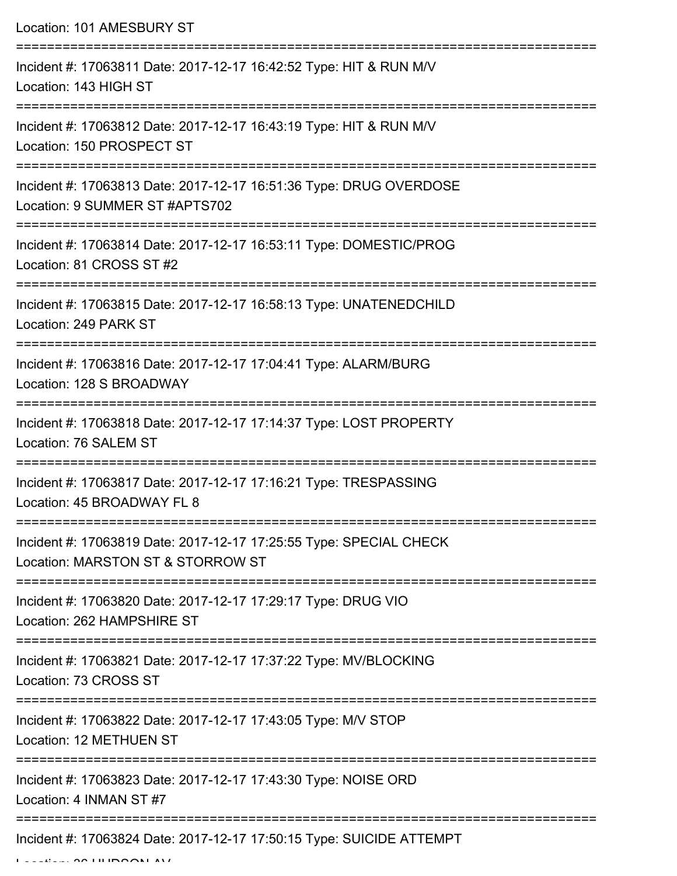Location: 101 AMESBURY ST

| Incident #: 17063811 Date: 2017-12-17 16:42:52 Type: HIT & RUN M/V<br>Location: 143 HIGH ST             |
|---------------------------------------------------------------------------------------------------------|
| Incident #: 17063812 Date: 2017-12-17 16:43:19 Type: HIT & RUN M/V<br>Location: 150 PROSPECT ST         |
| Incident #: 17063813 Date: 2017-12-17 16:51:36 Type: DRUG OVERDOSE<br>Location: 9 SUMMER ST #APTS702    |
| Incident #: 17063814 Date: 2017-12-17 16:53:11 Type: DOMESTIC/PROG<br>Location: 81 CROSS ST #2          |
| Incident #: 17063815 Date: 2017-12-17 16:58:13 Type: UNATENEDCHILD<br>Location: 249 PARK ST             |
| Incident #: 17063816 Date: 2017-12-17 17:04:41 Type: ALARM/BURG<br>Location: 128 S BROADWAY             |
| Incident #: 17063818 Date: 2017-12-17 17:14:37 Type: LOST PROPERTY<br>Location: 76 SALEM ST             |
| Incident #: 17063817 Date: 2017-12-17 17:16:21 Type: TRESPASSING<br>Location: 45 BROADWAY FL 8          |
| Incident #: 17063819 Date: 2017-12-17 17:25:55 Type: SPECIAL CHECK<br>Location: MARSTON ST & STORROW ST |
| Incident #: 17063820 Date: 2017-12-17 17:29:17 Type: DRUG VIO<br>Location: 262 HAMPSHIRE ST             |
| Incident #: 17063821 Date: 2017-12-17 17:37:22 Type: MV/BLOCKING<br>Location: 73 CROSS ST               |
| Incident #: 17063822 Date: 2017-12-17 17:43:05 Type: M/V STOP<br>Location: 12 METHUEN ST                |
| Incident #: 17063823 Date: 2017-12-17 17:43:30 Type: NOISE ORD<br>Location: 4 INMAN ST #7               |
| Incident #: 17063824 Date: 2017-12-17 17:50:15 Type: SUICIDE ATTEMPT                                    |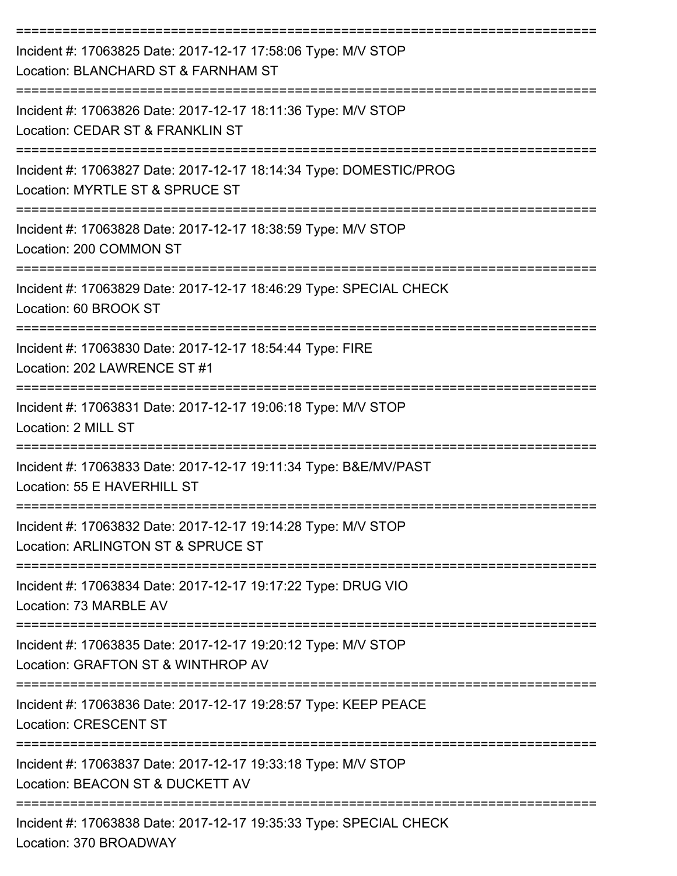| Incident #: 17063825 Date: 2017-12-17 17:58:06 Type: M/V STOP<br>Location: BLANCHARD ST & FARNHAM ST                                   |
|----------------------------------------------------------------------------------------------------------------------------------------|
| Incident #: 17063826 Date: 2017-12-17 18:11:36 Type: M/V STOP<br>Location: CEDAR ST & FRANKLIN ST                                      |
| Incident #: 17063827 Date: 2017-12-17 18:14:34 Type: DOMESTIC/PROG<br>Location: MYRTLE ST & SPRUCE ST                                  |
| Incident #: 17063828 Date: 2017-12-17 18:38:59 Type: M/V STOP<br>Location: 200 COMMON ST                                               |
| Incident #: 17063829 Date: 2017-12-17 18:46:29 Type: SPECIAL CHECK<br>Location: 60 BROOK ST                                            |
| Incident #: 17063830 Date: 2017-12-17 18:54:44 Type: FIRE<br>Location: 202 LAWRENCE ST #1                                              |
| Incident #: 17063831 Date: 2017-12-17 19:06:18 Type: M/V STOP<br>Location: 2 MILL ST                                                   |
| Incident #: 17063833 Date: 2017-12-17 19:11:34 Type: B&E/MV/PAST<br>Location: 55 E HAVERHILL ST                                        |
| Incident #: 17063832 Date: 2017-12-17 19:14:28 Type: M/V STOP<br>Location: ARLINGTON ST & SPRUCE ST                                    |
| ============================<br>Incident #: 17063834 Date: 2017-12-17 19:17:22 Type: DRUG VIO<br>Location: 73 MARBLE AV                |
| Incident #: 17063835 Date: 2017-12-17 19:20:12 Type: M/V STOP<br>Location: GRAFTON ST & WINTHROP AV                                    |
| Incident #: 17063836 Date: 2017-12-17 19:28:57 Type: KEEP PEACE<br><b>Location: CRESCENT ST</b>                                        |
| Incident #: 17063837 Date: 2017-12-17 19:33:18 Type: M/V STOP<br>Location: BEACON ST & DUCKETT AV                                      |
| --------------------------------------<br>Incident #: 17063838 Date: 2017-12-17 19:35:33 Type: SPECIAL CHECK<br>Location: 370 BROADWAY |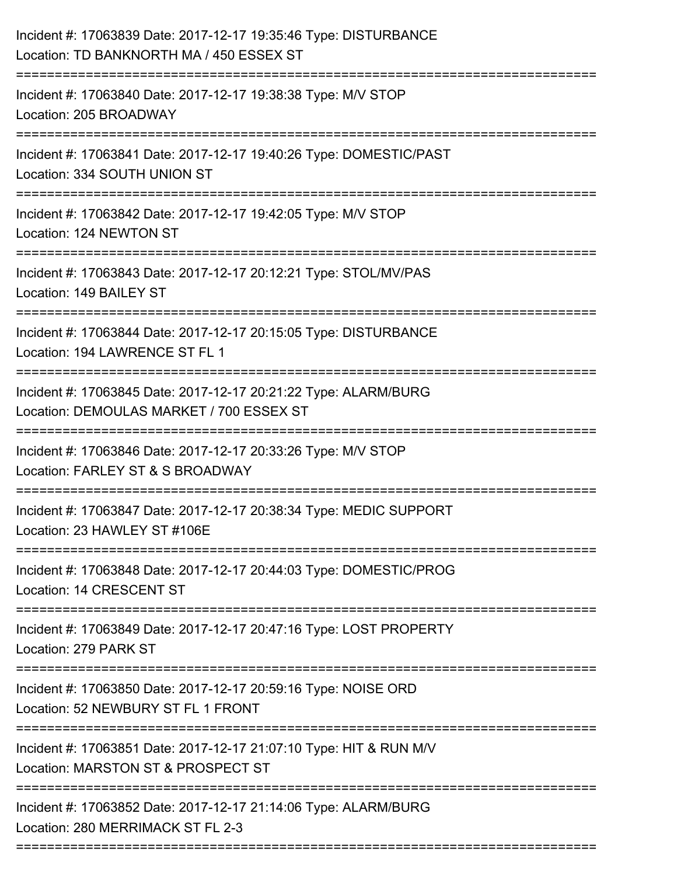| Incident #: 17063840 Date: 2017-12-17 19:38:38 Type: M/V STOP<br>Location: 205 BROADWAY<br>-----------------------                      |
|-----------------------------------------------------------------------------------------------------------------------------------------|
| Incident #: 17063841 Date: 2017-12-17 19:40:26 Type: DOMESTIC/PAST<br>Location: 334 SOUTH UNION ST                                      |
| Incident #: 17063842 Date: 2017-12-17 19:42:05 Type: M/V STOP<br>Location: 124 NEWTON ST                                                |
| Incident #: 17063843 Date: 2017-12-17 20:12:21 Type: STOL/MV/PAS<br>Location: 149 BAILEY ST                                             |
| Incident #: 17063844 Date: 2017-12-17 20:15:05 Type: DISTURBANCE<br>Location: 194 LAWRENCE ST FL 1                                      |
| Incident #: 17063845 Date: 2017-12-17 20:21:22 Type: ALARM/BURG<br>Location: DEMOULAS MARKET / 700 ESSEX ST<br>------------------------ |
| Incident #: 17063846 Date: 2017-12-17 20:33:26 Type: M/V STOP<br>Location: FARLEY ST & S BROADWAY                                       |
| Incident #: 17063847 Date: 2017-12-17 20:38:34 Type: MEDIC SUPPORT<br>Location: 23 HAWLEY ST #106E                                      |
| Incident #: 17063848 Date: 2017-12-17 20:44:03 Type: DOMESTIC/PROG<br>Location: 14 CRESCENT ST                                          |
| Incident #: 17063849 Date: 2017-12-17 20:47:16 Type: LOST PROPERTY<br>Location: 279 PARK ST                                             |
| Incident #: 17063850 Date: 2017-12-17 20:59:16 Type: NOISE ORD<br>Location: 52 NEWBURY ST FL 1 FRONT                                    |
| Incident #: 17063851 Date: 2017-12-17 21:07:10 Type: HIT & RUN M/V<br>Location: MARSTON ST & PROSPECT ST                                |
| Incident #: 17063852 Date: 2017-12-17 21:14:06 Type: ALARM/BURG<br>Location: 280 MERRIMACK ST FL 2-3<br>========================        |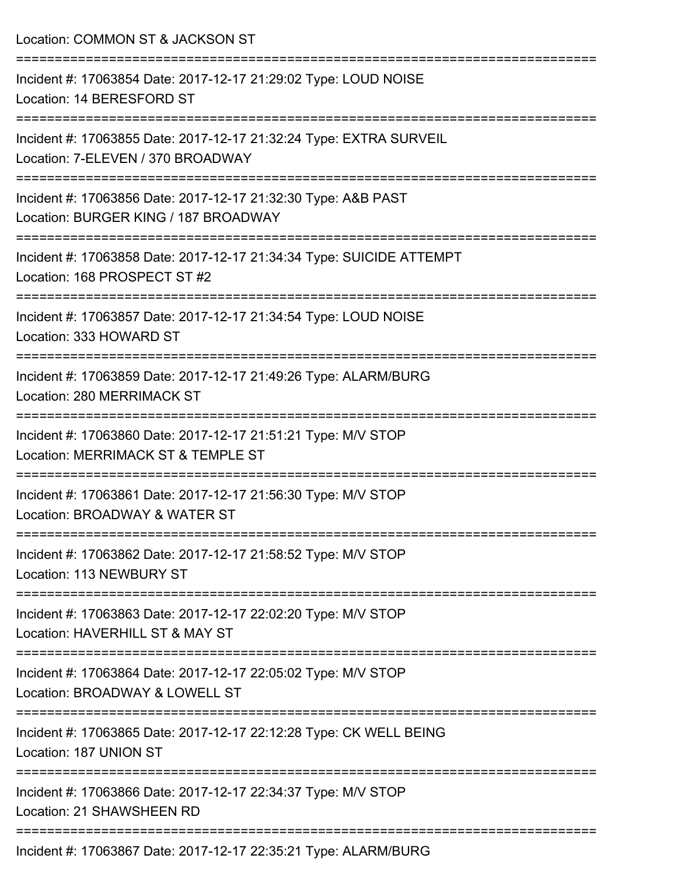| Location: COMMON ST & JACKSON ST                                                                        |
|---------------------------------------------------------------------------------------------------------|
| Incident #: 17063854 Date: 2017-12-17 21:29:02 Type: LOUD NOISE<br>Location: 14 BERESFORD ST            |
| Incident #: 17063855 Date: 2017-12-17 21:32:24 Type: EXTRA SURVEIL<br>Location: 7-ELEVEN / 370 BROADWAY |
| Incident #: 17063856 Date: 2017-12-17 21:32:30 Type: A&B PAST<br>Location: BURGER KING / 187 BROADWAY   |
| Incident #: 17063858 Date: 2017-12-17 21:34:34 Type: SUICIDE ATTEMPT<br>Location: 168 PROSPECT ST #2    |
| Incident #: 17063857 Date: 2017-12-17 21:34:54 Type: LOUD NOISE<br>Location: 333 HOWARD ST              |
| Incident #: 17063859 Date: 2017-12-17 21:49:26 Type: ALARM/BURG<br>Location: 280 MERRIMACK ST           |
| Incident #: 17063860 Date: 2017-12-17 21:51:21 Type: M/V STOP<br>Location: MERRIMACK ST & TEMPLE ST     |
| Incident #: 17063861 Date: 2017-12-17 21:56:30 Type: M/V STOP<br>Location: BROADWAY & WATER ST          |
| Incident #: 17063862 Date: 2017-12-17 21:58:52 Type: M/V STOP<br>Location: 113 NEWBURY ST               |
| Incident #: 17063863 Date: 2017-12-17 22:02:20 Type: M/V STOP<br>Location: HAVERHILL ST & MAY ST        |
| Incident #: 17063864 Date: 2017-12-17 22:05:02 Type: M/V STOP<br>Location: BROADWAY & LOWELL ST         |
| Incident #: 17063865 Date: 2017-12-17 22:12:28 Type: CK WELL BEING<br>Location: 187 UNION ST            |
| Incident #: 17063866 Date: 2017-12-17 22:34:37 Type: M/V STOP<br>Location: 21 SHAWSHEEN RD              |
| Incident #: 17063867 Date: 2017-12-17 22:35:21 Type: ALARM/BURG                                         |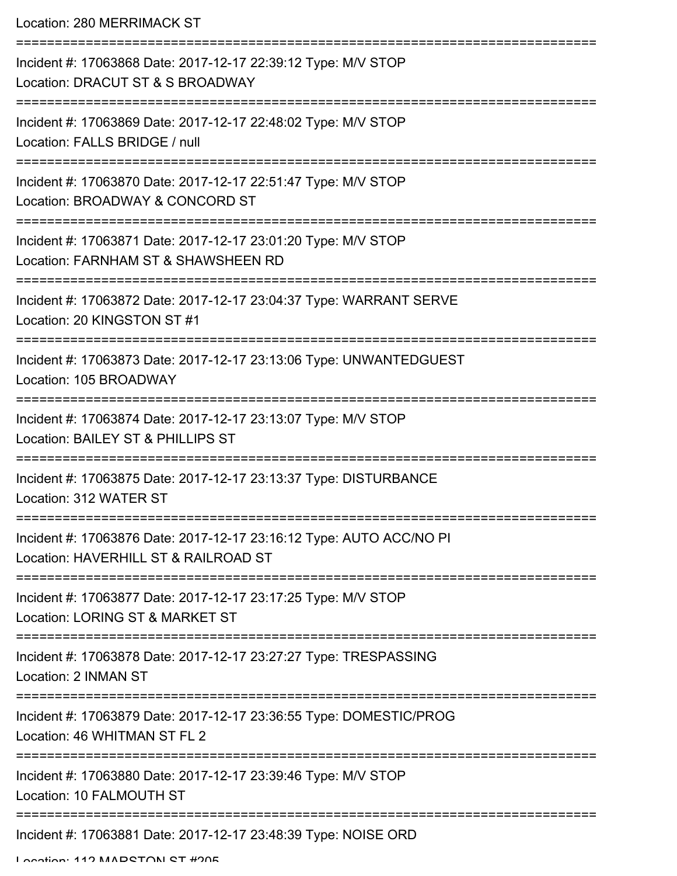Location: 280 MERRIMACK ST

| Incident #: 17063868 Date: 2017-12-17 22:39:12 Type: M/V STOP<br>Location: DRACUT ST & S BROADWAY           |
|-------------------------------------------------------------------------------------------------------------|
| Incident #: 17063869 Date: 2017-12-17 22:48:02 Type: M/V STOP<br>Location: FALLS BRIDGE / null              |
| Incident #: 17063870 Date: 2017-12-17 22:51:47 Type: M/V STOP<br>Location: BROADWAY & CONCORD ST            |
| Incident #: 17063871 Date: 2017-12-17 23:01:20 Type: M/V STOP<br>Location: FARNHAM ST & SHAWSHEEN RD        |
| Incident #: 17063872 Date: 2017-12-17 23:04:37 Type: WARRANT SERVE<br>Location: 20 KINGSTON ST #1           |
| Incident #: 17063873 Date: 2017-12-17 23:13:06 Type: UNWANTEDGUEST<br>Location: 105 BROADWAY                |
| Incident #: 17063874 Date: 2017-12-17 23:13:07 Type: M/V STOP<br>Location: BAILEY ST & PHILLIPS ST          |
| Incident #: 17063875 Date: 2017-12-17 23:13:37 Type: DISTURBANCE<br>Location: 312 WATER ST                  |
| Incident #: 17063876 Date: 2017-12-17 23:16:12 Type: AUTO ACC/NO PI<br>Location: HAVERHILL ST & RAILROAD ST |
| Incident #: 17063877 Date: 2017-12-17 23:17:25 Type: M/V STOP<br>Location: LORING ST & MARKET ST            |
| Incident #: 17063878 Date: 2017-12-17 23:27:27 Type: TRESPASSING<br>Location: 2 INMAN ST                    |
| Incident #: 17063879 Date: 2017-12-17 23:36:55 Type: DOMESTIC/PROG<br>Location: 46 WHITMAN ST FL 2          |
| Incident #: 17063880 Date: 2017-12-17 23:39:46 Type: M/V STOP<br>Location: 10 FALMOUTH ST                   |
| Incident #: 17063881 Date: 2017-12-17 23:48:39 Type: NOISE ORD                                              |